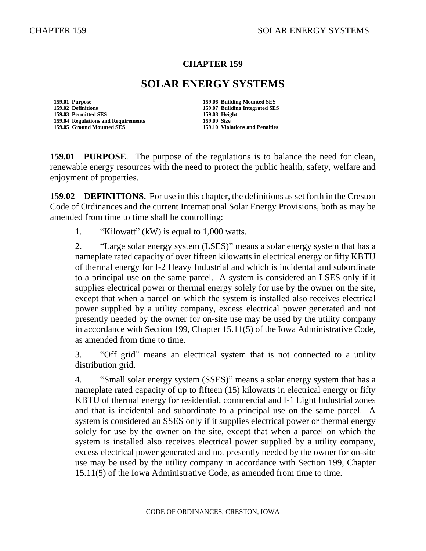#### **CHAPTER 159**

# **SOLAR ENERGY SYSTEMS**

**159.01 Purpose 159.06 Building Mounted SES 159.02 Definitions 159.07 Building Integrated SES 159.03 Permitted SES 159.08 Height 159.04 Regulations and Requirements 159.09 Size**

**159.05 Ground Mounted SES 159.10 Violations and Penalties**

**159.01 PURPOSE**. The purpose of the regulations is to balance the need for clean, renewable energy resources with the need to protect the public health, safety, welfare and enjoyment of properties.

**159.02 DEFINITIONS.** For use in this chapter, the definitions as set forth in the Creston Code of Ordinances and the current International Solar Energy Provisions, both as may be amended from time to time shall be controlling:

1. "Kilowatt" (kW) is equal to 1,000 watts.

2. "Large solar energy system (LSES)" means a solar energy system that has a nameplate rated capacity of over fifteen kilowatts in electrical energy or fifty KBTU of thermal energy for I-2 Heavy Industrial and which is incidental and subordinate to a principal use on the same parcel. A system is considered an LSES only if it supplies electrical power or thermal energy solely for use by the owner on the site, except that when a parcel on which the system is installed also receives electrical power supplied by a utility company, excess electrical power generated and not presently needed by the owner for on-site use may be used by the utility company in accordance with Section 199, Chapter 15.11(5) of the Iowa Administrative Code, as amended from time to time.

3. "Off grid" means an electrical system that is not connected to a utility distribution grid.

4. "Small solar energy system (SSES)" means a solar energy system that has a nameplate rated capacity of up to fifteen (15) kilowatts in electrical energy or fifty KBTU of thermal energy for residential, commercial and I-1 Light Industrial zones and that is incidental and subordinate to a principal use on the same parcel. A system is considered an SSES only if it supplies electrical power or thermal energy solely for use by the owner on the site, except that when a parcel on which the system is installed also receives electrical power supplied by a utility company, excess electrical power generated and not presently needed by the owner for on-site use may be used by the utility company in accordance with Section 199, Chapter 15.11(5) of the Iowa Administrative Code, as amended from time to time.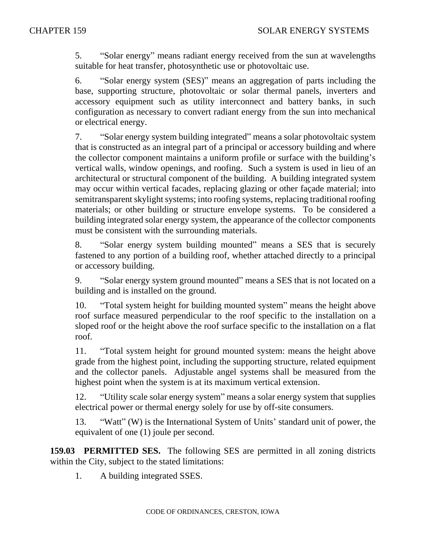5. "Solar energy" means radiant energy received from the sun at wavelengths suitable for heat transfer, photosynthetic use or photovoltaic use.

6. "Solar energy system (SES)" means an aggregation of parts including the base, supporting structure, photovoltaic or solar thermal panels, inverters and accessory equipment such as utility interconnect and battery banks, in such configuration as necessary to convert radiant energy from the sun into mechanical or electrical energy.

7. "Solar energy system building integrated" means a solar photovoltaic system that is constructed as an integral part of a principal or accessory building and where the collector component maintains a uniform profile or surface with the building's vertical walls, window openings, and roofing. Such a system is used in lieu of an architectural or structural component of the building. A building integrated system may occur within vertical facades, replacing glazing or other façade material; into semitransparent skylight systems; into roofing systems, replacing traditional roofing materials; or other building or structure envelope systems. To be considered a building integrated solar energy system, the appearance of the collector components must be consistent with the surrounding materials.

8. "Solar energy system building mounted" means a SES that is securely fastened to any portion of a building roof, whether attached directly to a principal or accessory building.

9. "Solar energy system ground mounted" means a SES that is not located on a building and is installed on the ground.

10. "Total system height for building mounted system" means the height above roof surface measured perpendicular to the roof specific to the installation on a sloped roof or the height above the roof surface specific to the installation on a flat roof.

11. "Total system height for ground mounted system: means the height above grade from the highest point, including the supporting structure, related equipment and the collector panels. Adjustable angel systems shall be measured from the highest point when the system is at its maximum vertical extension.

12. "Utility scale solar energy system" means a solar energy system that supplies electrical power or thermal energy solely for use by off-site consumers.

13. "Watt" (W) is the International System of Units' standard unit of power, the equivalent of one (1) joule per second.

**159.03 PERMITTED SES.** The following SES are permitted in all zoning districts within the City, subject to the stated limitations:

1. A building integrated SSES.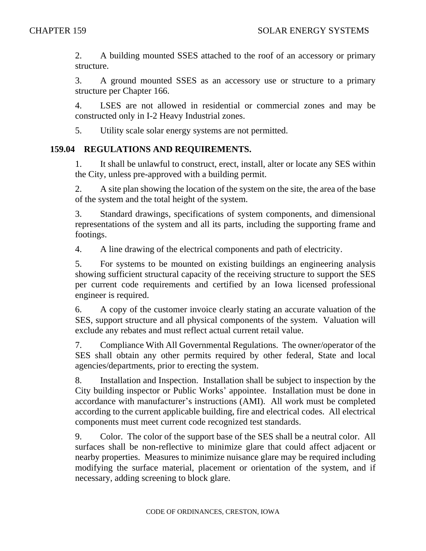2. A building mounted SSES attached to the roof of an accessory or primary structure.

3. A ground mounted SSES as an accessory use or structure to a primary structure per Chapter 166.

4. LSES are not allowed in residential or commercial zones and may be constructed only in I-2 Heavy Industrial zones.

5. Utility scale solar energy systems are not permitted.

### **159.04 REGULATIONS AND REQUIREMENTS.**

1. It shall be unlawful to construct, erect, install, alter or locate any SES within the City, unless pre-approved with a building permit.

2. A site plan showing the location of the system on the site, the area of the base of the system and the total height of the system.

3. Standard drawings, specifications of system components, and dimensional representations of the system and all its parts, including the supporting frame and footings.

4. A line drawing of the electrical components and path of electricity.

5. For systems to be mounted on existing buildings an engineering analysis showing sufficient structural capacity of the receiving structure to support the SES per current code requirements and certified by an Iowa licensed professional engineer is required.

6. A copy of the customer invoice clearly stating an accurate valuation of the SES, support structure and all physical components of the system. Valuation will exclude any rebates and must reflect actual current retail value.

7. Compliance With All Governmental Regulations. The owner/operator of the SES shall obtain any other permits required by other federal, State and local agencies/departments, prior to erecting the system.

8. Installation and Inspection. Installation shall be subject to inspection by the City building inspector or Public Works' appointee. Installation must be done in accordance with manufacturer's instructions (AMI). All work must be completed according to the current applicable building, fire and electrical codes. All electrical components must meet current code recognized test standards.

9. Color. The color of the support base of the SES shall be a neutral color. All surfaces shall be non-reflective to minimize glare that could affect adjacent or nearby properties. Measures to minimize nuisance glare may be required including modifying the surface material, placement or orientation of the system, and if necessary, adding screening to block glare.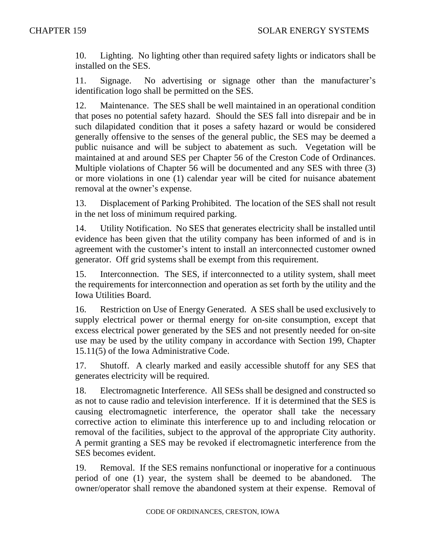10. Lighting. No lighting other than required safety lights or indicators shall be installed on the SES.

11. Signage. No advertising or signage other than the manufacturer's identification logo shall be permitted on the SES.

12. Maintenance. The SES shall be well maintained in an operational condition that poses no potential safety hazard. Should the SES fall into disrepair and be in such dilapidated condition that it poses a safety hazard or would be considered generally offensive to the senses of the general public, the SES may be deemed a public nuisance and will be subject to abatement as such. Vegetation will be maintained at and around SES per Chapter 56 of the Creston Code of Ordinances. Multiple violations of Chapter 56 will be documented and any SES with three (3) or more violations in one (1) calendar year will be cited for nuisance abatement removal at the owner's expense.

13. Displacement of Parking Prohibited. The location of the SES shall not result in the net loss of minimum required parking.

14. Utility Notification. No SES that generates electricity shall be installed until evidence has been given that the utility company has been informed of and is in agreement with the customer's intent to install an interconnected customer owned generator. Off grid systems shall be exempt from this requirement.

15. Interconnection. The SES, if interconnected to a utility system, shall meet the requirements for interconnection and operation as set forth by the utility and the Iowa Utilities Board.

16. Restriction on Use of Energy Generated. A SES shall be used exclusively to supply electrical power or thermal energy for on-site consumption, except that excess electrical power generated by the SES and not presently needed for on-site use may be used by the utility company in accordance with Section 199, Chapter 15.11(5) of the Iowa Administrative Code.

17. Shutoff. A clearly marked and easily accessible shutoff for any SES that generates electricity will be required.

18. Electromagnetic Interference. All SESs shall be designed and constructed so as not to cause radio and television interference. If it is determined that the SES is causing electromagnetic interference, the operator shall take the necessary corrective action to eliminate this interference up to and including relocation or removal of the facilities, subject to the approval of the appropriate City authority. A permit granting a SES may be revoked if electromagnetic interference from the SES becomes evident.

19. Removal. If the SES remains nonfunctional or inoperative for a continuous period of one (1) year, the system shall be deemed to be abandoned. The owner/operator shall remove the abandoned system at their expense. Removal of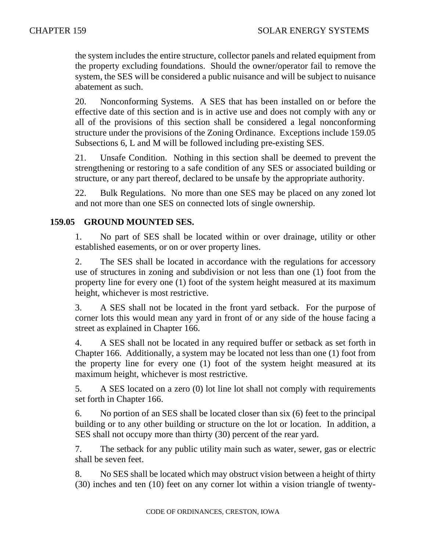the system includes the entire structure, collector panels and related equipment from the property excluding foundations. Should the owner/operator fail to remove the system, the SES will be considered a public nuisance and will be subject to nuisance abatement as such.

20. Nonconforming Systems. A SES that has been installed on or before the effective date of this section and is in active use and does not comply with any or all of the provisions of this section shall be considered a legal nonconforming structure under the provisions of the Zoning Ordinance. Exceptions include 159.05 Subsections 6, L and M will be followed including pre-existing SES.

21. Unsafe Condition. Nothing in this section shall be deemed to prevent the strengthening or restoring to a safe condition of any SES or associated building or structure, or any part thereof, declared to be unsafe by the appropriate authority.

22. Bulk Regulations. No more than one SES may be placed on any zoned lot and not more than one SES on connected lots of single ownership.

## **159.05 GROUND MOUNTED SES.**

1. No part of SES shall be located within or over drainage, utility or other established easements, or on or over property lines.

2. The SES shall be located in accordance with the regulations for accessory use of structures in zoning and subdivision or not less than one (1) foot from the property line for every one (1) foot of the system height measured at its maximum height, whichever is most restrictive.

3. A SES shall not be located in the front yard setback. For the purpose of corner lots this would mean any yard in front of or any side of the house facing a street as explained in Chapter 166.

4. A SES shall not be located in any required buffer or setback as set forth in Chapter 166. Additionally, a system may be located not less than one (1) foot from the property line for every one (1) foot of the system height measured at its maximum height, whichever is most restrictive.

5. A SES located on a zero (0) lot line lot shall not comply with requirements set forth in Chapter 166.

6. No portion of an SES shall be located closer than six (6) feet to the principal building or to any other building or structure on the lot or location. In addition, a SES shall not occupy more than thirty (30) percent of the rear yard.

7. The setback for any public utility main such as water, sewer, gas or electric shall be seven feet.

8. No SES shall be located which may obstruct vision between a height of thirty (30) inches and ten (10) feet on any corner lot within a vision triangle of twenty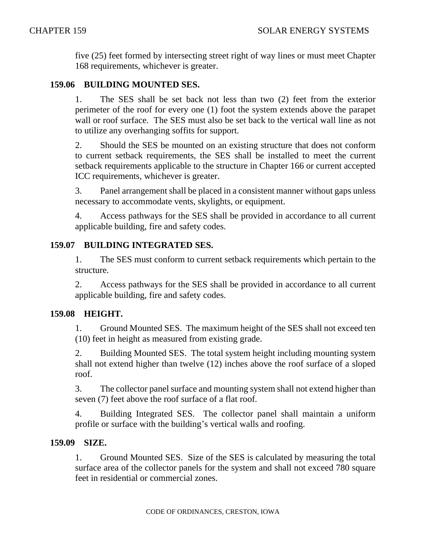five (25) feet formed by intersecting street right of way lines or must meet Chapter 168 requirements, whichever is greater.

## **159.06 BUILDING MOUNTED SES.**

1. The SES shall be set back not less than two (2) feet from the exterior perimeter of the roof for every one (1) foot the system extends above the parapet wall or roof surface. The SES must also be set back to the vertical wall line as not to utilize any overhanging soffits for support.

2. Should the SES be mounted on an existing structure that does not conform to current setback requirements, the SES shall be installed to meet the current setback requirements applicable to the structure in Chapter 166 or current accepted ICC requirements, whichever is greater.

3. Panel arrangement shall be placed in a consistent manner without gaps unless necessary to accommodate vents, skylights, or equipment.

4. Access pathways for the SES shall be provided in accordance to all current applicable building, fire and safety codes.

## **159.07 BUILDING INTEGRATED SES.**

1. The SES must conform to current setback requirements which pertain to the structure.

2. Access pathways for the SES shall be provided in accordance to all current applicable building, fire and safety codes.

### **159.08 HEIGHT.**

1. Ground Mounted SES. The maximum height of the SES shall not exceed ten (10) feet in height as measured from existing grade.

2. Building Mounted SES. The total system height including mounting system shall not extend higher than twelve (12) inches above the roof surface of a sloped roof.

3. The collector panel surface and mounting system shall not extend higher than seven (7) feet above the roof surface of a flat roof.

4. Building Integrated SES. The collector panel shall maintain a uniform profile or surface with the building's vertical walls and roofing.

### **159.09 SIZE.**

1. Ground Mounted SES. Size of the SES is calculated by measuring the total surface area of the collector panels for the system and shall not exceed 780 square feet in residential or commercial zones.